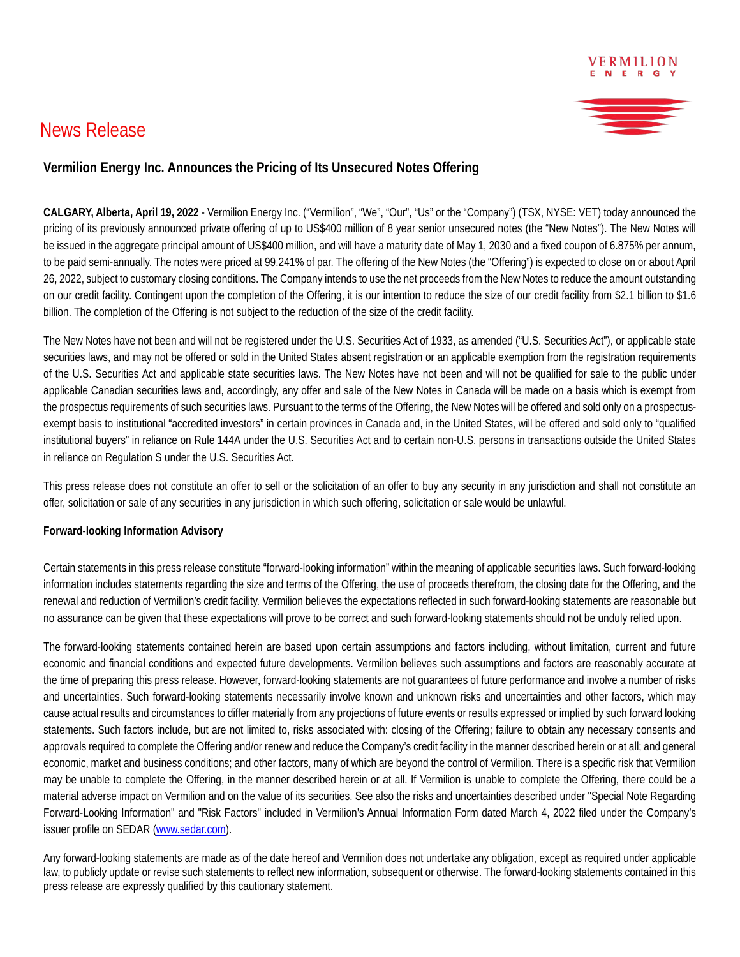## News Release



## **Vermilion Energy Inc. Announces the Pricing of Its Unsecured Notes Offering**

**CALGARY, Alberta, April 19, 2022** - Vermilion Energy Inc. ("Vermilion", "We", "Our", "Us" or the "Company") (TSX, NYSE: VET) today announced the pricing of its previously announced private offering of up to US\$400 million of 8 year senior unsecured notes (the "New Notes"). The New Notes will be issued in the aggregate principal amount of US\$400 million, and will have a maturity date of May 1, 2030 and a fixed coupon of 6.875% per annum, to be paid semi-annually. The notes were priced at 99.241% of par. The offering of the New Notes (the "Offering") is expected to close on or about April 26, 2022, subject to customary closing conditions. The Company intends to use the net proceeds from the New Notes to reduce the amount outstanding on our credit facility. Contingent upon the completion of the Offering, it is our intention to reduce the size of our credit facility from \$2.1 billion to \$1.6 billion. The completion of the Offering is not subject to the reduction of the size of the credit facility.

The New Notes have not been and will not be registered under the U.S. Securities Act of 1933, as amended ("U.S. Securities Act"), or applicable state securities laws, and may not be offered or sold in the United States absent registration or an applicable exemption from the registration requirements of the U.S. Securities Act and applicable state securities laws. The New Notes have not been and will not be qualified for sale to the public under applicable Canadian securities laws and, accordingly, any offer and sale of the New Notes in Canada will be made on a basis which is exempt from the prospectus requirements of such securities laws. Pursuant to the terms of the Offering, the New Notes will be offered and sold only on a prospectusexempt basis to institutional "accredited investors" in certain provinces in Canada and, in the United States, will be offered and sold only to "qualified institutional buyers" in reliance on Rule 144A under the U.S. Securities Act and to certain non-U.S. persons in transactions outside the United States in reliance on Regulation S under the U.S. Securities Act.

This press release does not constitute an offer to sell or the solicitation of an offer to buy any security in any jurisdiction and shall not constitute an offer, solicitation or sale of any securities in any jurisdiction in which such offering, solicitation or sale would be unlawful.

## **Forward-looking Information Advisory**

Certain statements in this press release constitute "forward-looking information" within the meaning of applicable securities laws. Such forward-looking information includes statements regarding the size and terms of the Offering, the use of proceeds therefrom, the closing date for the Offering, and the renewal and reduction of Vermilion's credit facility. Vermilion believes the expectations reflected in such forward-looking statements are reasonable but no assurance can be given that these expectations will prove to be correct and such forward-looking statements should not be unduly relied upon.

The forward-looking statements contained herein are based upon certain assumptions and factors including, without limitation, current and future economic and financial conditions and expected future developments. Vermilion believes such assumptions and factors are reasonably accurate at the time of preparing this press release. However, forward-looking statements are not guarantees of future performance and involve a number of risks and uncertainties. Such forward-looking statements necessarily involve known and unknown risks and uncertainties and other factors, which may cause actual results and circumstances to differ materially from any projections of future events or results expressed or implied by such forward looking statements. Such factors include, but are not limited to, risks associated with: closing of the Offering; failure to obtain any necessary consents and approvals required to complete the Offering and/or renew and reduce the Company's credit facility in the manner described herein or at all; and general economic, market and business conditions; and other factors, many of which are beyond the control of Vermilion. There is a specific risk that Vermilion may be unable to complete the Offering, in the manner described herein or at all. If Vermilion is unable to complete the Offering, there could be a material adverse impact on Vermilion and on the value of its securities. See also the risks and uncertainties described under "Special Note Regarding Forward-Looking Information" and "Risk Factors" included in Vermilion's Annual Information Form dated March 4, 2022 filed under the Company's issuer profile on SEDAR [\(www.sedar.com\)](http://www.sedar.com/).

Any forward-looking statements are made as of the date hereof and Vermilion does not undertake any obligation, except as required under applicable law, to publicly update or revise such statements to reflect new information, subsequent or otherwise. The forward-looking statements contained in this press release are expressly qualified by this cautionary statement.